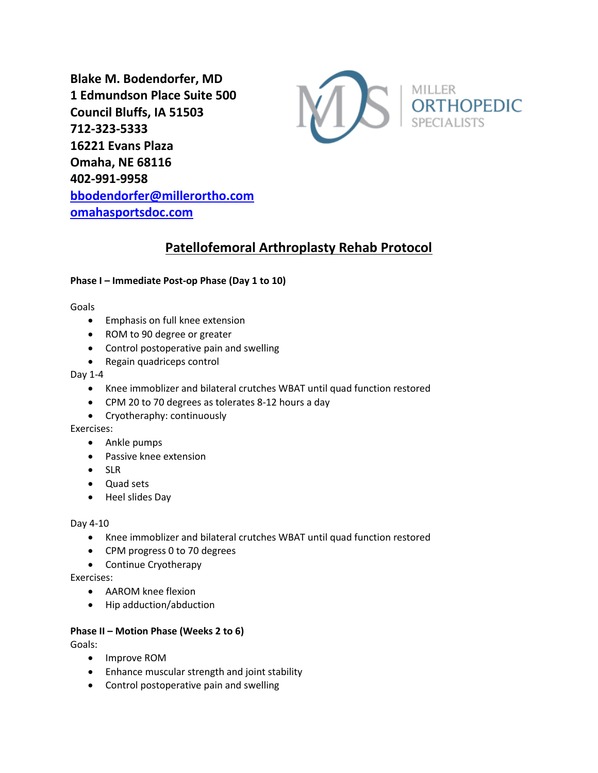**Blake M. Bodendorfer, MD 1 Edmundson Place Suite 500 Council Bluffs, IA 51503 712-323-5333 16221 Evans Plaza Omaha, NE 68116 402-991-9958 [bbodendorfer@millerortho.com](mailto:bbodendorfer@millerortho.com) [omahasportsdoc.com](http://www.omahasportsdoc.com/)**



# **Patellofemoral Arthroplasty Rehab Protocol**

## **Phase I – Immediate Post-op Phase (Day 1 to 10)**

### Goals

- Emphasis on full knee extension
- ROM to 90 degree or greater
- Control postoperative pain and swelling
- Regain quadriceps control

### Day 1-4

- Knee immoblizer and bilateral crutches WBAT until quad function restored
- CPM 20 to 70 degrees as tolerates 8-12 hours a day
- Cryotheraphy: continuously

### Exercises:

- Ankle pumps
- Passive knee extension
- SLR
- Quad sets
- Heel slides Day

### Day 4-10

- Knee immoblizer and bilateral crutches WBAT until quad function restored
- CPM progress 0 to 70 degrees
- Continue Cryotherapy

### Exercises:

- AAROM knee flexion
- Hip adduction/abduction

## **Phase II – Motion Phase (Weeks 2 to 6)**

Goals:

- Improve ROM
- Enhance muscular strength and joint stability
- Control postoperative pain and swelling